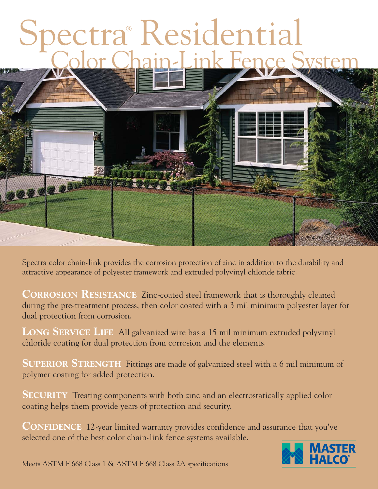# Spectra® Residential Color Chain-Link Fence System



Spectra color chain-link provides the corrosion protection of zinc in addition to the durability and attractive appearance of polyester framework and extruded polyvinyl chloride fabric.

**CORROSION RESISTANCE** Zinc-coated steel framework that is thoroughly cleaned during the pre-treatment process, then color coated with a 3 mil minimum polyester layer for dual protection from corrosion.

**LONG SERVICE LIFE** All galvanized wire has a 15 mil minimum extruded polyvinyl chloride coating for dual protection from corrosion and the elements.

**SUPERIOR STRENGTH** Fittings are made of galvanized steel with a 6 mil minimum of polymer coating for added protection.

**SECURITY** Treating components with both zinc and an electrostatically applied color coating helps them provide years of protection and security.

**CONFIDENCE** 12-year limited warranty provides confidence and assurance that you've selected one of the best color chain-link fence systems available.

![](_page_0_Picture_8.jpeg)